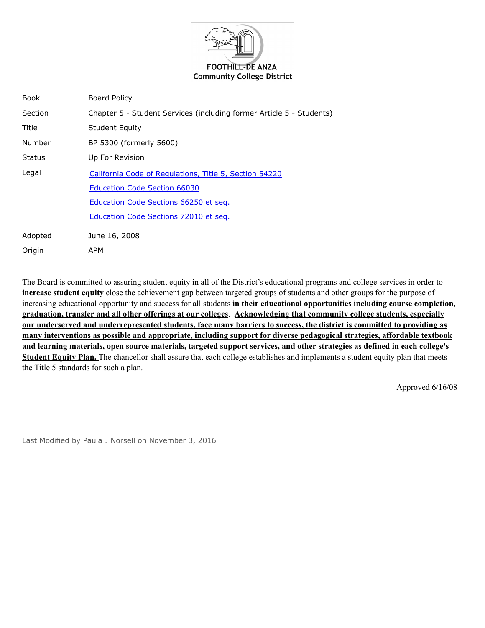

| <b>Book</b>   | <b>Board Policy</b>                                                  |
|---------------|----------------------------------------------------------------------|
| Section       | Chapter 5 - Student Services (including former Article 5 - Students) |
| Title         | <b>Student Equity</b>                                                |
| Number        | BP 5300 (formerly 5600)                                              |
| <b>Status</b> | Up For Revision                                                      |
| Legal         | California Code of Regulations, Title 5, Section 54220               |
|               | <b>Education Code Section 66030</b>                                  |
|               | Education Code Sections 66250 et seg.                                |
|               | Education Code Sections 72010 et seq.                                |
| Adopted       | June 16, 2008                                                        |
| Origin        | APM                                                                  |

The Board is committed to assuring student equity in all of the District's educational programs and college services in order to **increase student equity** close the achievement gap between targeted groups of students and other groups for the purpose of increasing educational opportunity and success for all students **in their educational opportunities including course completion, graduation, transfer and all other offerings at our colleges**. **Acknowledging that community college students, especially our underserved and underrepresented students, face many barriers to success, the district is committed to providing as many interventions as possible and appropriate, including support for diverse pedagogical strategies, affordable textbook and learning materials, open source materials, targeted support services, and other strategies as defined in each college's Student Equity Plan.** The chancellor shall assure that each college establishes and implements a student equity plan that meets the Title 5 standards for such a plan.

Approved 6/16/08

Last Modified by Paula J Norsell on November 3, 2016